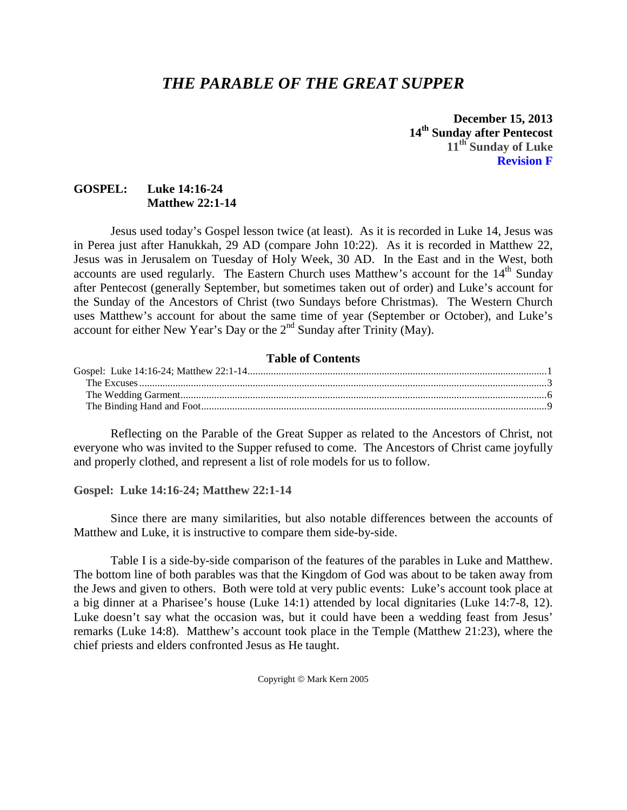# *THE PARABLE OF THE GREAT SUPPER*

**December 15, 2013 14th Sunday after Pentecost 11th Sunday of Luke Revision F**

# **GOSPEL: Luke 14:16-24 Matthew 22:1-14**

Jesus used today's Gospel lesson twice (at least). As it is recorded in Luke 14, Jesus was in Perea just after Hanukkah, 29 AD (compare John 10:22). As it is recorded in Matthew 22, Jesus was in Jerusalem on Tuesday of Holy Week, 30 AD. In the East and in the West, both accounts are used regularly. The Eastern Church uses Matthew's account for the  $14<sup>th</sup>$  Sunday after Pentecost (generally September, but sometimes taken out of order) and Luke's account for the Sunday of the Ancestors of Christ (two Sundays before Christmas). The Western Church uses Matthew's account for about the same time of year (September or October), and Luke's account for either New Year's Day or the 2<sup>nd</sup> Sunday after Trinity (May).

## **Table of Contents**

Reflecting on the Parable of the Great Supper as related to the Ancestors of Christ, not everyone who was invited to the Supper refused to come. The Ancestors of Christ came joyfully and properly clothed, and represent a list of role models for us to follow.

<span id="page-0-0"></span>**Gospel: Luke 14:16-24; Matthew 22:1-14**

Since there are many similarities, but also notable differences between the accounts of Matthew and Luke, it is instructive to compare them side-by-side.

Table I is a side-by-side comparison of the features of the parables in Luke and Matthew. The bottom line of both parables was that the Kingdom of God was about to be taken away from the Jews and given to others. Both were told at very public events: Luke's account took place at a big dinner at a Pharisee's house (Luke 14:1) attended by local dignitaries (Luke 14:7-8, 12). Luke doesn't say what the occasion was, but it could have been a wedding feast from Jesus' remarks (Luke 14:8). Matthew's account took place in the Temple (Matthew 21:23), where the chief priests and elders confronted Jesus as He taught.

Copyright © Mark Kern 2005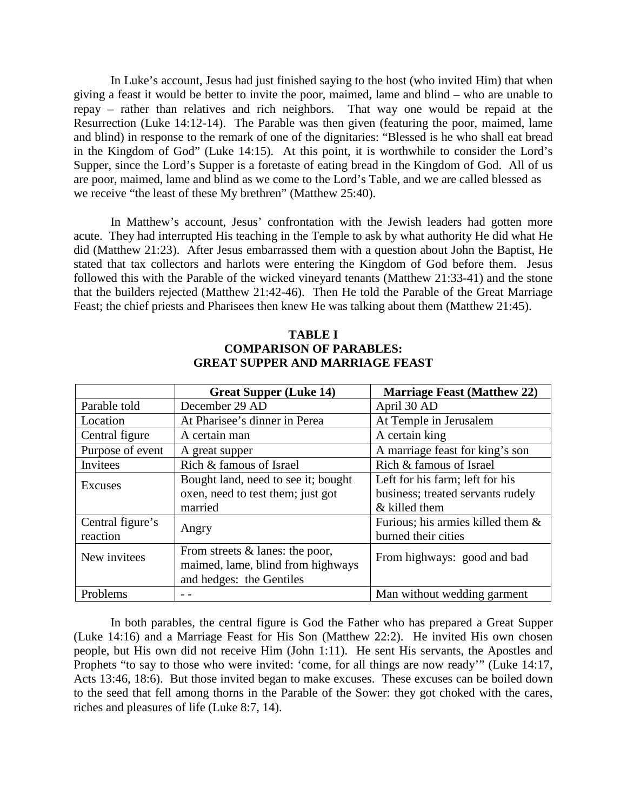In Luke's account, Jesus had just finished saying to the host (who invited Him) that when giving a feast it would be better to invite the poor, maimed, lame and blind – who are unable to repay – rather than relatives and rich neighbors. That way one would be repaid at the Resurrection (Luke 14:12-14). The Parable was then given (featuring the poor, maimed, lame and blind) in response to the remark of one of the dignitaries: "Blessed is he who shall eat bread in the Kingdom of God" (Luke 14:15). At this point, it is worthwhile to consider the Lord's Supper, since the Lord's Supper is a foretaste of eating bread in the Kingdom of God. All of us are poor, maimed, lame and blind as we come to the Lord's Table, and we are called blessed as we receive "the least of these My brethren" (Matthew 25:40).

In Matthew's account, Jesus' confrontation with the Jewish leaders had gotten more acute. They had interrupted His teaching in the Temple to ask by what authority He did what He did (Matthew 21:23). After Jesus embarrassed them with a question about John the Baptist, He stated that tax collectors and harlots were entering the Kingdom of God before them. Jesus followed this with the Parable of the wicked vineyard tenants (Matthew 21:33-41) and the stone that the builders rejected (Matthew 21:42-46). Then He told the Parable of the Great Marriage Feast; the chief priests and Pharisees then knew He was talking about them (Matthew 21:45).

#### **TABLE I COMPARISON OF PARABLES: GREAT SUPPER AND MARRIAGE FEAST**

|                  | <b>Great Supper (Luke 14)</b>       | <b>Marriage Feast (Matthew 22)</b>   |  |  |
|------------------|-------------------------------------|--------------------------------------|--|--|
| Parable told     | December 29 AD                      | April 30 AD                          |  |  |
| Location         | At Pharisee's dinner in Perea       | At Temple in Jerusalem               |  |  |
| Central figure   | A certain man                       | A certain king                       |  |  |
| Purpose of event | A great supper                      | A marriage feast for king's son      |  |  |
| Invitees         | Rich & famous of Israel             | Rich & famous of Israel              |  |  |
| Excuses          | Bought land, need to see it; bought | Left for his farm; left for his      |  |  |
|                  | oxen, need to test them; just got   | business; treated servants rudely    |  |  |
|                  | married                             | & killed them                        |  |  |
| Central figure's | Angry                               | Furious; his armies killed them $\&$ |  |  |
| reaction         |                                     | burned their cities                  |  |  |
| New invitees     | From streets $&$ lanes: the poor,   | From highways: good and bad          |  |  |
|                  | maimed, lame, blind from highways   |                                      |  |  |
|                  | and hedges: the Gentiles            |                                      |  |  |
| Problems         |                                     | Man without wedding garment          |  |  |

<span id="page-1-0"></span>In both parables, the central figure is God the Father who has prepared a Great Supper (Luke 14:16) and a Marriage Feast for His Son (Matthew 22:2). He invited His own chosen people, but His own did not receive Him (John 1:11). He sent His servants, the Apostles and Prophets "to say to those who were invited: 'come, for all things are now ready'" (Luke 14:17, Acts 13:46, 18:6). But those invited began to make excuses. These excuses can be boiled down to the seed that fell among thorns in the Parable of the Sower: they got choked with the cares, riches and pleasures of life (Luke 8:7, 14).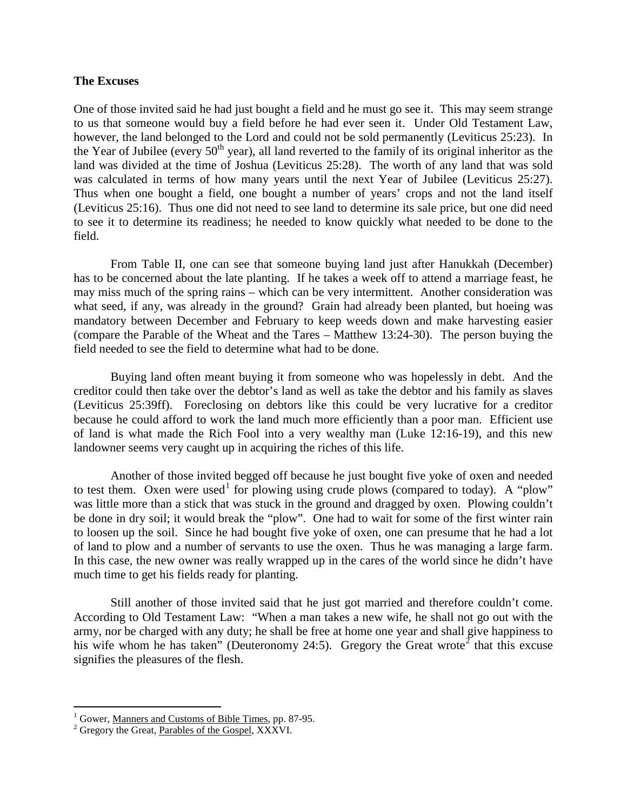#### **The Excuses**

One of those invited said he had just bought a field and he must go see it. This may seem strange to us that someone would buy a field before he had ever seen it. Under Old Testament Law, however, the land belonged to the Lord and could not be sold permanently (Leviticus 25:23). In the Year of Jubilee (every  $50<sup>th</sup>$  year), all land reverted to the family of its original inheritor as the land was divided at the time of Joshua (Leviticus 25:28). The worth of any land that was sold was calculated in terms of how many years until the next Year of Jubilee (Leviticus 25:27). Thus when one bought a field, one bought a number of years' crops and not the land itself (Leviticus 25:16). Thus one did not need to see land to determine its sale price, but one did need to see it to determine its readiness; he needed to know quickly what needed to be done to the field.

From Table II, one can see that someone buying land just after Hanukkah (December) has to be concerned about the late planting. If he takes a week off to attend a marriage feast, he may miss much of the spring rains – which can be very intermittent. Another consideration was what seed, if any, was already in the ground? Grain had already been planted, but hoeing was mandatory between December and February to keep weeds down and make harvesting easier (compare the Parable of the Wheat and the Tares – Matthew 13:24-30). The person buying the field needed to see the field to determine what had to be done.

Buying land often meant buying it from someone who was hopelessly in debt. And the creditor could then take over the debtor's land as well as take the debtor and his family as slaves (Leviticus 25:39ff). Foreclosing on debtors like this could be very lucrative for a creditor because he could afford to work the land much more efficiently than a poor man. Efficient use of land is what made the Rich Fool into a very wealthy man (Luke 12:16-19), and this new landowner seems very caught up in acquiring the riches of this life.

Another of those invited begged off because he just bought five yoke of oxen and needed to test them. Oxen were used<sup>[1](#page-2-0)</sup> for plowing using crude plows (compared to today). A "plow" was little more than a stick that was stuck in the ground and dragged by oxen. Plowing couldn't be done in dry soil; it would break the "plow". One had to wait for some of the first winter rain to loosen up the soil. Since he had bought five yoke of oxen, one can presume that he had a lot of land to plow and a number of servants to use the oxen. Thus he was managing a large farm. In this case, the new owner was really wrapped up in the cares of the world since he didn't have much time to get his fields ready for planting.

Still another of those invited said that he just got married and therefore couldn't come. According to Old Testament Law: "When a man takes a new wife, he shall not go out with the army, nor be charged with any duty; he shall be free at home one year and shall give happiness to his wife whom he has taken" (Deuteronomy [2](#page-2-1)4:5). Gregory the Great wrote<sup>2</sup> that this excuse signifies the pleasures of the flesh.

<span id="page-2-0"></span><sup>&</sup>lt;sup>1</sup> Gower, <u>Manners and Customs of Bible Times</u>, pp. 87-95.<br><sup>2</sup> Gregory the Great, <u>Parables of the Gospel</u>, XXXVI.

<span id="page-2-1"></span>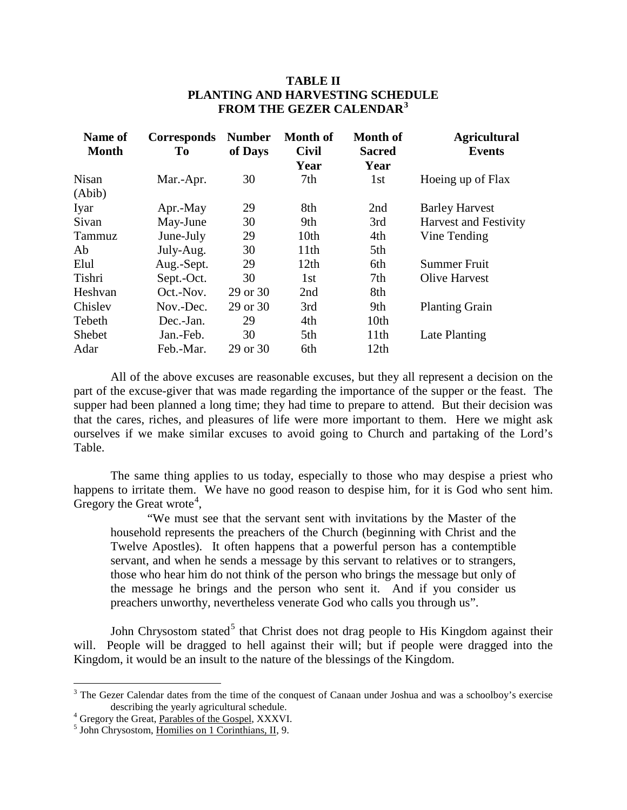# **TABLE II PLANTING AND HARVESTING SCHEDULE FROM THE GEZER CALENDAR[3](#page-3-0)**

| Name of<br><b>Month</b> | <b>Corresponds</b><br><b>To</b> | <b>Number</b><br>of Days | <b>Month of</b><br><b>Civil</b> | <b>Month of</b><br><b>Sacred</b> | <b>Agricultural</b><br><b>Events</b> |
|-------------------------|---------------------------------|--------------------------|---------------------------------|----------------------------------|--------------------------------------|
|                         |                                 |                          | Year                            | Year                             |                                      |
| <b>Nisan</b><br>(Abib)  | Mar.-Apr.                       | 30                       | 7th                             | 1st                              | Hoeing up of Flax                    |
| Iyar                    | Apr.-May                        | 29                       | 8th                             | 2nd                              | <b>Barley Harvest</b>                |
| Sivan                   | May-June                        | 30                       | 9th                             | 3rd                              | <b>Harvest and Festivity</b>         |
| Tammuz                  | June-July                       | 29                       | 10th                            | 4th                              | Vine Tending                         |
| Ab.                     | July-Aug.                       | 30                       | 11 <sup>th</sup>                | 5th                              |                                      |
| Elul                    | Aug.-Sept.                      | 29                       | 12th                            | 6th                              | <b>Summer Fruit</b>                  |
| Tishri                  | Sept.-Oct.                      | 30                       | 1st                             | 7th                              | <b>Olive Harvest</b>                 |
| Heshvan                 | Oct.-Nov.                       | 29 or 30                 | 2nd                             | 8th                              |                                      |
| Chisley                 | Nov.-Dec.                       | 29 or 30                 | 3rd                             | 9th                              | <b>Planting Grain</b>                |
| Tebeth                  | Dec.-Jan.                       | 29                       | 4th                             | 10th                             |                                      |
| Shebet                  | Jan.-Feb.                       | 30                       | 5th                             | 11th                             | Late Planting                        |
| Adar                    | Feb.-Mar.                       | 29 or 30                 | 6th                             | 12 <sub>th</sub>                 |                                      |

All of the above excuses are reasonable excuses, but they all represent a decision on the part of the excuse-giver that was made regarding the importance of the supper or the feast. The supper had been planned a long time; they had time to prepare to attend. But their decision was that the cares, riches, and pleasures of life were more important to them. Here we might ask ourselves if we make similar excuses to avoid going to Church and partaking of the Lord's Table.

The same thing applies to us today, especially to those who may despise a priest who happens to irritate them. We have no good reason to despise him, for it is God who sent him. Gregory the Great wrote<sup>[4](#page-3-1)</sup>,

"We must see that the servant sent with invitations by the Master of the household represents the preachers of the Church (beginning with Christ and the Twelve Apostles). It often happens that a powerful person has a contemptible servant, and when he sends a message by this servant to relatives or to strangers, those who hear him do not think of the person who brings the message but only of the message he brings and the person who sent it. And if you consider us preachers unworthy, nevertheless venerate God who calls you through us".

John Chrysostom stated<sup>[5](#page-3-2)</sup> that Christ does not drag people to His Kingdom against their will. People will be dragged to hell against their will; but if people were dragged into the Kingdom, it would be an insult to the nature of the blessings of the Kingdom.

<span id="page-3-0"></span><sup>&</sup>lt;sup>3</sup> The Gezer Calendar dates from the time of the conquest of Canaan under Joshua and was a schoolboy's exercise describing the yearly agricultural schedule.

<span id="page-3-1"></span> $\frac{4}{5}$  Gregory the Great, <u>Parables of the Gospel</u>, XXXVI.  $\frac{5}{5}$  John Chrysostom, Homilies on 1 Corinthians, II, 9.

<span id="page-3-2"></span>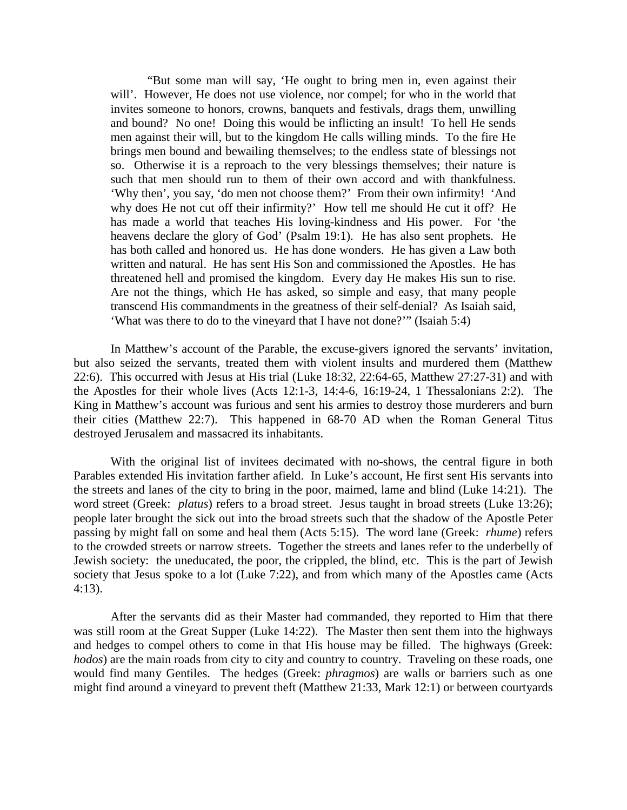"But some man will say, 'He ought to bring men in, even against their will'. However, He does not use violence, nor compel; for who in the world that invites someone to honors, crowns, banquets and festivals, drags them, unwilling and bound? No one! Doing this would be inflicting an insult! To hell He sends men against their will, but to the kingdom He calls willing minds. To the fire He brings men bound and bewailing themselves; to the endless state of blessings not so. Otherwise it is a reproach to the very blessings themselves; their nature is such that men should run to them of their own accord and with thankfulness. 'Why then', you say, 'do men not choose them?' From their own infirmity! 'And why does He not cut off their infirmity?' How tell me should He cut it off? He has made a world that teaches His loving-kindness and His power. For 'the heavens declare the glory of God' (Psalm 19:1). He has also sent prophets. He has both called and honored us. He has done wonders. He has given a Law both written and natural. He has sent His Son and commissioned the Apostles. He has threatened hell and promised the kingdom. Every day He makes His sun to rise. Are not the things, which He has asked, so simple and easy, that many people transcend His commandments in the greatness of their self-denial? As Isaiah said, 'What was there to do to the vineyard that I have not done?'" (Isaiah 5:4)

In Matthew's account of the Parable, the excuse-givers ignored the servants' invitation, but also seized the servants, treated them with violent insults and murdered them (Matthew 22:6). This occurred with Jesus at His trial (Luke 18:32, 22:64-65, Matthew 27:27-31) and with the Apostles for their whole lives (Acts 12:1-3, 14:4-6, 16:19-24, 1 Thessalonians 2:2). The King in Matthew's account was furious and sent his armies to destroy those murderers and burn their cities (Matthew 22:7). This happened in 68-70 AD when the Roman General Titus destroyed Jerusalem and massacred its inhabitants.

With the original list of invitees decimated with no-shows, the central figure in both Parables extended His invitation farther afield. In Luke's account, He first sent His servants into the streets and lanes of the city to bring in the poor, maimed, lame and blind (Luke 14:21). The word street (Greek: *platus*) refers to a broad street. Jesus taught in broad streets (Luke 13:26); people later brought the sick out into the broad streets such that the shadow of the Apostle Peter passing by might fall on some and heal them (Acts 5:15). The word lane (Greek: *rhume*) refers to the crowded streets or narrow streets. Together the streets and lanes refer to the underbelly of Jewish society: the uneducated, the poor, the crippled, the blind, etc. This is the part of Jewish society that Jesus spoke to a lot (Luke 7:22), and from which many of the Apostles came (Acts 4:13).

After the servants did as their Master had commanded, they reported to Him that there was still room at the Great Supper (Luke 14:22). The Master then sent them into the highways and hedges to compel others to come in that His house may be filled. The highways (Greek: *hodos*) are the main roads from city to city and country to country. Traveling on these roads, one would find many Gentiles. The hedges (Greek: *phragmos*) are walls or barriers such as one might find around a vineyard to prevent theft (Matthew 21:33, Mark 12:1) or between courtyards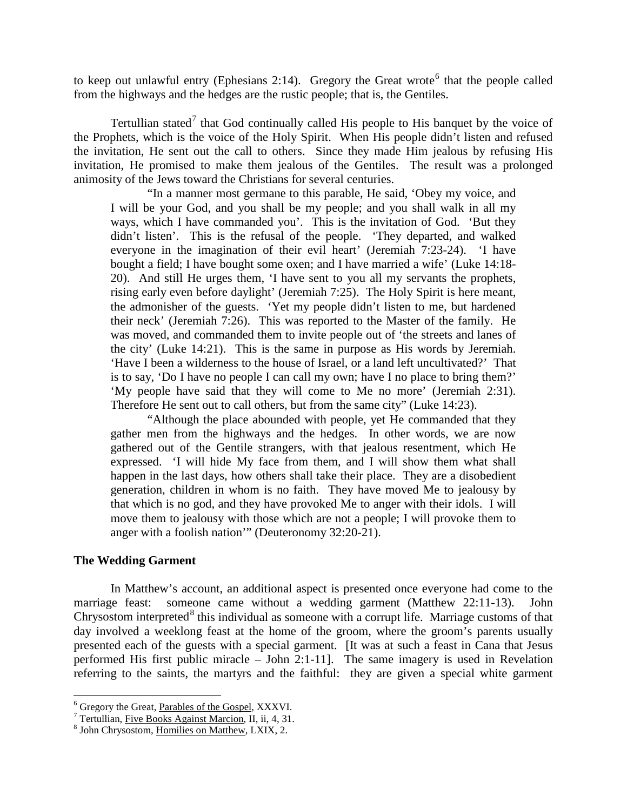to keep out unlawful entry (Ephesians 2:14). Gregory the Great wrote<sup>[6](#page-5-1)</sup> that the people called from the highways and the hedges are the rustic people; that is, the Gentiles.

Tertullian stated<sup>[7](#page-5-2)</sup> that God continually called His people to His banquet by the voice of the Prophets, which is the voice of the Holy Spirit. When His people didn't listen and refused the invitation, He sent out the call to others. Since they made Him jealous by refusing His invitation, He promised to make them jealous of the Gentiles. The result was a prolonged animosity of the Jews toward the Christians for several centuries.

"In a manner most germane to this parable, He said, 'Obey my voice, and I will be your God, and you shall be my people; and you shall walk in all my ways, which I have commanded you'. This is the invitation of God. 'But they didn't listen'. This is the refusal of the people. 'They departed, and walked everyone in the imagination of their evil heart' (Jeremiah 7:23-24). 'I have bought a field; I have bought some oxen; and I have married a wife' (Luke 14:18- 20). And still He urges them, 'I have sent to you all my servants the prophets, rising early even before daylight' (Jeremiah 7:25). The Holy Spirit is here meant, the admonisher of the guests. 'Yet my people didn't listen to me, but hardened their neck' (Jeremiah 7:26). This was reported to the Master of the family. He was moved, and commanded them to invite people out of 'the streets and lanes of the city' (Luke 14:21). This is the same in purpose as His words by Jeremiah. 'Have I been a wilderness to the house of Israel, or a land left uncultivated?' That is to say, 'Do I have no people I can call my own; have I no place to bring them?' 'My people have said that they will come to Me no more' (Jeremiah 2:31). Therefore He sent out to call others, but from the same city" (Luke 14:23).

"Although the place abounded with people, yet He commanded that they gather men from the highways and the hedges. In other words, we are now gathered out of the Gentile strangers, with that jealous resentment, which He expressed. 'I will hide My face from them, and I will show them what shall happen in the last days, how others shall take their place. They are a disobedient generation, children in whom is no faith. They have moved Me to jealousy by that which is no god, and they have provoked Me to anger with their idols. I will move them to jealousy with those which are not a people; I will provoke them to anger with a foolish nation'" (Deuteronomy 32:20-21).

#### <span id="page-5-0"></span>**The Wedding Garment**

In Matthew's account, an additional aspect is presented once everyone had come to the marriage feast: someone came without a wedding garment (Matthew 22:11-13). John Chrysostom interpreted<sup>[8](#page-5-3)</sup> this individual as someone with a corrupt life. Marriage customs of that day involved a weeklong feast at the home of the groom, where the groom's parents usually presented each of the guests with a special garment. [It was at such a feast in Cana that Jesus performed His first public miracle – John 2:1-11]. The same imagery is used in Revelation referring to the saints, the martyrs and the faithful: they are given a special white garment

<span id="page-5-2"></span><span id="page-5-1"></span><sup>&</sup>lt;sup>6</sup> Gregory the Great, <u>Parables of the Gospel</u>, XXXVI.<br>
<sup>7</sup> Tertullian, <u>Five Books Against Marcion</u>, II, ii, 4, 31. 8 John Chrysostom, <u>Homilies on Matthew</u>, LXIX, 2.

<span id="page-5-3"></span>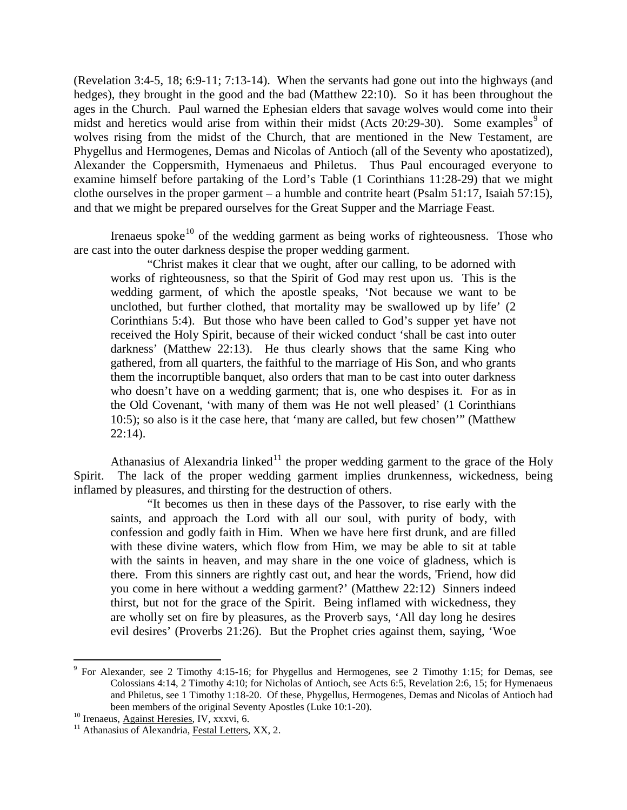(Revelation 3:4-5, 18; 6:9-11; 7:13-14). When the servants had gone out into the highways (and hedges), they brought in the good and the bad (Matthew 22:10). So it has been throughout the ages in the Church. Paul warned the Ephesian elders that savage wolves would come into their midst and heretics would arise from within their midst (Acts  $20:29-30$  $20:29-30$  $20:29-30$ ). Some examples of wolves rising from the midst of the Church, that are mentioned in the New Testament, are Phygellus and Hermogenes, Demas and Nicolas of Antioch (all of the Seventy who apostatized), Alexander the Coppersmith, Hymenaeus and Philetus. Thus Paul encouraged everyone to examine himself before partaking of the Lord's Table (1 Corinthians 11:28-29) that we might clothe ourselves in the proper garment – a humble and contrite heart (Psalm 51:17, Isaiah 57:15), and that we might be prepared ourselves for the Great Supper and the Marriage Feast.

Irenaeus spoke<sup>[10](#page-6-1)</sup> of the wedding garment as being works of righteousness. Those who are cast into the outer darkness despise the proper wedding garment.

"Christ makes it clear that we ought, after our calling, to be adorned with works of righteousness, so that the Spirit of God may rest upon us. This is the wedding garment, of which the apostle speaks, 'Not because we want to be unclothed, but further clothed, that mortality may be swallowed up by life' (2 Corinthians 5:4). But those who have been called to God's supper yet have not received the Holy Spirit, because of their wicked conduct 'shall be cast into outer darkness' (Matthew 22:13). He thus clearly shows that the same King who gathered, from all quarters, the faithful to the marriage of His Son, and who grants them the incorruptible banquet, also orders that man to be cast into outer darkness who doesn't have on a wedding garment; that is, one who despises it. For as in the Old Covenant, 'with many of them was He not well pleased' (1 Corinthians 10:5); so also is it the case here, that 'many are called, but few chosen'" (Matthew 22:14).

Athanasius of Alexandria linked<sup>[11](#page-6-2)</sup> the proper wedding garment to the grace of the Holy Spirit. The lack of the proper wedding garment implies drunkenness, wickedness, being inflamed by pleasures, and thirsting for the destruction of others.

"It becomes us then in these days of the Passover, to rise early with the saints, and approach the Lord with all our soul, with purity of body, with confession and godly faith in Him. When we have here first drunk, and are filled with these divine waters, which flow from Him, we may be able to sit at table with the saints in heaven, and may share in the one voice of gladness, which is there. From this sinners are rightly cast out, and hear the words, 'Friend, how did you come in here without a wedding garment?' (Matthew 22:12) Sinners indeed thirst, but not for the grace of the Spirit. Being inflamed with wickedness, they are wholly set on fire by pleasures, as the Proverb says, 'All day long he desires evil desires' (Proverbs 21:26). But the Prophet cries against them, saying, 'Woe

<span id="page-6-0"></span><sup>&</sup>lt;sup>9</sup> For Alexander, see 2 Timothy 4:15-16; for Phygellus and Hermogenes, see 2 Timothy 1:15; for Demas, see Colossians 4:14, 2 Timothy 4:10; for Nicholas of Antioch, see Acts 6:5, Revelation 2:6, 15; for Hymenaeus and Philetus, see 1 Timothy 1:18-20. Of these, Phygellus, Hermogenes, Demas and Nicolas of Antioch had been members of the original Seventy Apostles (Luke 10:1-20).<br><sup>10</sup> Irenaeus, <u>Against Heresies</u>, IV, xxxvi, 6.<br><sup>11</sup> Athanasius of Alexandria, Festal Letters, XX, 2.

<span id="page-6-1"></span>

<span id="page-6-2"></span>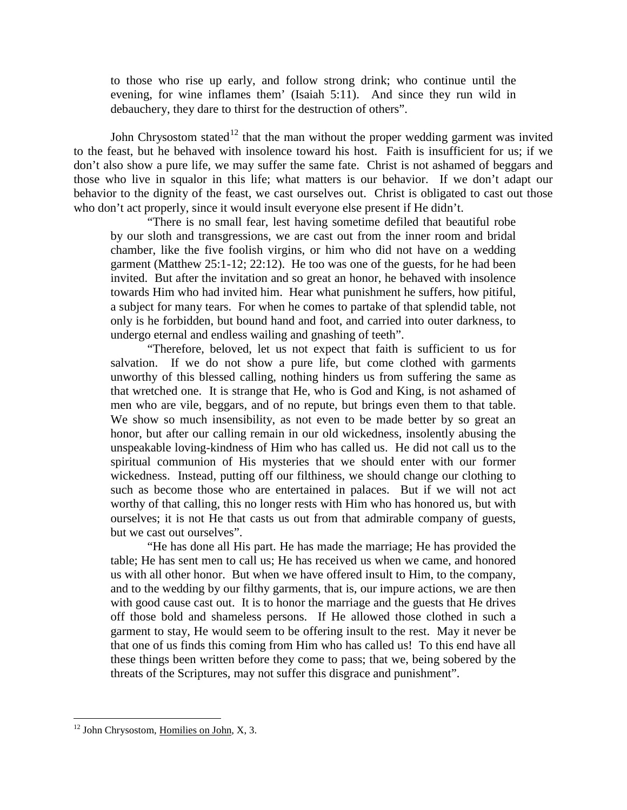to those who rise up early, and follow strong drink; who continue until the evening, for wine inflames them' (Isaiah 5:11). And since they run wild in debauchery, they dare to thirst for the destruction of others".

John Chrysostom stated<sup>[12](#page-7-0)</sup> that the man without the proper wedding garment was invited to the feast, but he behaved with insolence toward his host. Faith is insufficient for us; if we don't also show a pure life, we may suffer the same fate. Christ is not ashamed of beggars and those who live in squalor in this life; what matters is our behavior. If we don't adapt our behavior to the dignity of the feast, we cast ourselves out. Christ is obligated to cast out those who don't act properly, since it would insult everyone else present if He didn't.

"There is no small fear, lest having sometime defiled that beautiful robe by our sloth and transgressions, we are cast out from the inner room and bridal chamber, like the five foolish virgins, or him who did not have on a wedding garment (Matthew 25:1-12; 22:12). He too was one of the guests, for he had been invited. But after the invitation and so great an honor, he behaved with insolence towards Him who had invited him. Hear what punishment he suffers, how pitiful, a subject for many tears. For when he comes to partake of that splendid table, not only is he forbidden, but bound hand and foot, and carried into outer darkness, to undergo eternal and endless wailing and gnashing of teeth".

"Therefore, beloved, let us not expect that faith is sufficient to us for salvation. If we do not show a pure life, but come clothed with garments unworthy of this blessed calling, nothing hinders us from suffering the same as that wretched one. It is strange that He, who is God and King, is not ashamed of men who are vile, beggars, and of no repute, but brings even them to that table. We show so much insensibility, as not even to be made better by so great an honor, but after our calling remain in our old wickedness, insolently abusing the unspeakable loving-kindness of Him who has called us. He did not call us to the spiritual communion of His mysteries that we should enter with our former wickedness. Instead, putting off our filthiness, we should change our clothing to such as become those who are entertained in palaces. But if we will not act worthy of that calling, this no longer rests with Him who has honored us, but with ourselves; it is not He that casts us out from that admirable company of guests, but we cast out ourselves".

"He has done all His part. He has made the marriage; He has provided the table; He has sent men to call us; He has received us when we came, and honored us with all other honor. But when we have offered insult to Him, to the company, and to the wedding by our filthy garments, that is, our impure actions, we are then with good cause cast out. It is to honor the marriage and the guests that He drives off those bold and shameless persons. If He allowed those clothed in such a garment to stay, He would seem to be offering insult to the rest. May it never be that one of us finds this coming from Him who has called us! To this end have all these things been written before they come to pass; that we, being sobered by the threats of the Scriptures, may not suffer this disgrace and punishment".

<span id="page-7-0"></span> $12$  John Chrysostom, Homilies on John, X, 3.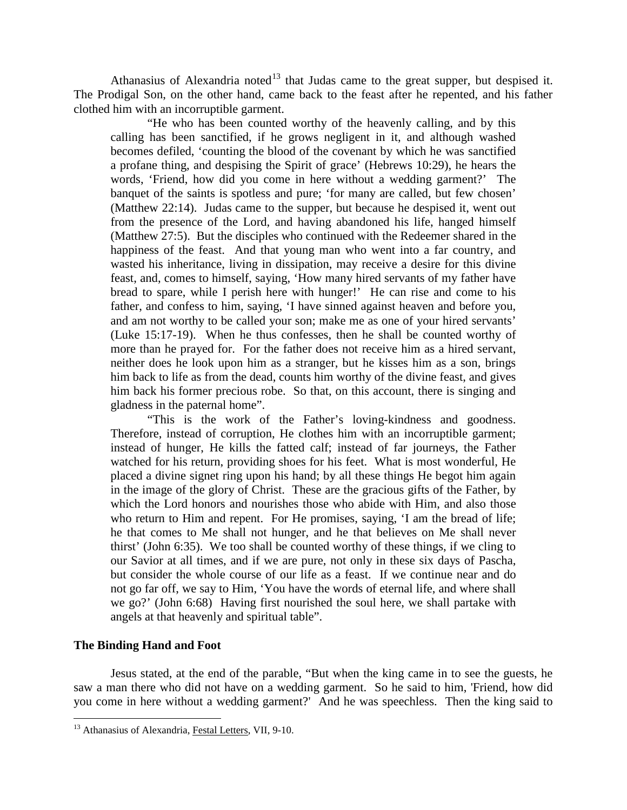Athanasius of Alexandria noted<sup>[13](#page-8-1)</sup> that Judas came to the great supper, but despised it. The Prodigal Son, on the other hand, came back to the feast after he repented, and his father clothed him with an incorruptible garment.

"He who has been counted worthy of the heavenly calling, and by this calling has been sanctified, if he grows negligent in it, and although washed becomes defiled, 'counting the blood of the covenant by which he was sanctified a profane thing, and despising the Spirit of grace' (Hebrews 10:29), he hears the words, 'Friend, how did you come in here without a wedding garment?' The banquet of the saints is spotless and pure; 'for many are called, but few chosen' (Matthew 22:14). Judas came to the supper, but because he despised it, went out from the presence of the Lord, and having abandoned his life, hanged himself (Matthew 27:5). But the disciples who continued with the Redeemer shared in the happiness of the feast. And that young man who went into a far country, and wasted his inheritance, living in dissipation, may receive a desire for this divine feast, and, comes to himself, saying, 'How many hired servants of my father have bread to spare, while I perish here with hunger!' He can rise and come to his father, and confess to him, saying, 'I have sinned against heaven and before you, and am not worthy to be called your son; make me as one of your hired servants' (Luke 15:17-19). When he thus confesses, then he shall be counted worthy of more than he prayed for. For the father does not receive him as a hired servant, neither does he look upon him as a stranger, but he kisses him as a son, brings him back to life as from the dead, counts him worthy of the divine feast, and gives him back his former precious robe. So that, on this account, there is singing and gladness in the paternal home".

"This is the work of the Father's loving-kindness and goodness. Therefore, instead of corruption, He clothes him with an incorruptible garment; instead of hunger, He kills the fatted calf; instead of far journeys, the Father watched for his return, providing shoes for his feet. What is most wonderful, He placed a divine signet ring upon his hand; by all these things He begot him again in the image of the glory of Christ. These are the gracious gifts of the Father, by which the Lord honors and nourishes those who abide with Him, and also those who return to Him and repent. For He promises, saying, 'I am the bread of life; he that comes to Me shall not hunger, and he that believes on Me shall never thirst' (John 6:35). We too shall be counted worthy of these things, if we cling to our Savior at all times, and if we are pure, not only in these six days of Pascha, but consider the whole course of our life as a feast. If we continue near and do not go far off, we say to Him, 'You have the words of eternal life, and where shall we go?' (John 6:68) Having first nourished the soul here, we shall partake with angels at that heavenly and spiritual table".

## <span id="page-8-0"></span>**The Binding Hand and Foot**

Jesus stated, at the end of the parable, "But when the king came in to see the guests, he saw a man there who did not have on a wedding garment. So he said to him, 'Friend, how did you come in here without a wedding garment?' And he was speechless. Then the king said to

<span id="page-8-1"></span><sup>&</sup>lt;sup>13</sup> Athanasius of Alexandria, Festal Letters, VII, 9-10.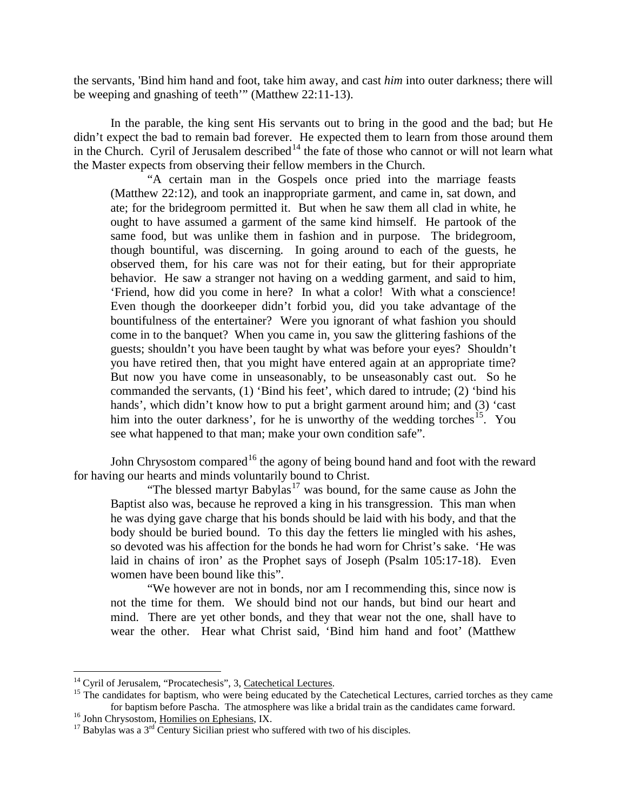the servants, 'Bind him hand and foot, take him away, and cast *him* into outer darkness; there will be weeping and gnashing of teeth'" (Matthew 22:11-13).

In the parable, the king sent His servants out to bring in the good and the bad; but He didn't expect the bad to remain bad forever. He expected them to learn from those around them in the Church. Cyril of Jerusalem described<sup>[14](#page-9-0)</sup> the fate of those who cannot or will not learn what the Master expects from observing their fellow members in the Church.

"A certain man in the Gospels once pried into the marriage feasts (Matthew 22:12), and took an inappropriate garment, and came in, sat down, and ate; for the bridegroom permitted it. But when he saw them all clad in white, he ought to have assumed a garment of the same kind himself. He partook of the same food, but was unlike them in fashion and in purpose. The bridegroom, though bountiful, was discerning. In going around to each of the guests, he observed them, for his care was not for their eating, but for their appropriate behavior. He saw a stranger not having on a wedding garment, and said to him, 'Friend, how did you come in here? In what a color! With what a conscience! Even though the doorkeeper didn't forbid you, did you take advantage of the bountifulness of the entertainer? Were you ignorant of what fashion you should come in to the banquet? When you came in, you saw the glittering fashions of the guests; shouldn't you have been taught by what was before your eyes? Shouldn't you have retired then, that you might have entered again at an appropriate time? But now you have come in unseasonably, to be unseasonably cast out. So he commanded the servants, (1) 'Bind his feet', which dared to intrude; (2) 'bind his hands', which didn't know how to put a bright garment around him; and (3) 'cast him into the outer darkness', for he is unworthy of the wedding torches<sup>[15](#page-9-1)</sup>. You see what happened to that man; make your own condition safe".

John Chrysostom compared<sup>[16](#page-9-2)</sup> the agony of being bound hand and foot with the reward for having our hearts and minds voluntarily bound to Christ.

"The blessed martyr Babylas<sup>[17](#page-9-3)</sup> was bound, for the same cause as John the Baptist also was, because he reproved a king in his transgression. This man when he was dying gave charge that his bonds should be laid with his body, and that the body should be buried bound. To this day the fetters lie mingled with his ashes, so devoted was his affection for the bonds he had worn for Christ's sake. 'He was laid in chains of iron' as the Prophet says of Joseph (Psalm 105:17-18). Even women have been bound like this".

"We however are not in bonds, nor am I recommending this, since now is not the time for them. We should bind not our hands, but bind our heart and mind. There are yet other bonds, and they that wear not the one, shall have to wear the other. Hear what Christ said, 'Bind him hand and foot' (Matthew

<span id="page-9-1"></span>

<span id="page-9-0"></span><sup>&</sup>lt;sup>14</sup> Cyril of Jerusalem, "Procatechesis", 3, Catechetical Lectures.<br><sup>15</sup> The candidates for baptism, who were being educated by the Catechetical Lectures, carried torches as they came<br>for baptism before Pascha. The atmosp

<span id="page-9-3"></span><span id="page-9-2"></span><sup>&</sup>lt;sup>16</sup> John Chrysostom, <u>Homilies on Ephesians</u>, IX.<br><sup>17</sup> Babylas was a  $3<sup>rd</sup>$  Century Sicilian priest who suffered with two of his disciples.